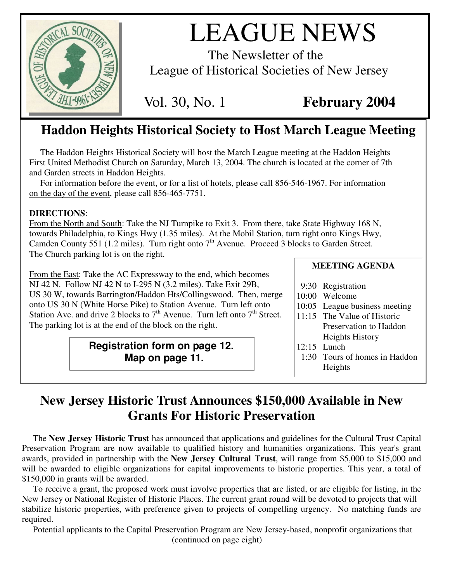

# LEAGUE NEWS

The Newsletter of the League of Historical Societies of New Jersey

Vol. 30, No. 1 **February 2004**

# **Haddon Heights Historical Society to Host March League Meeting**

The Haddon Heights Historical Society will host the March League meeting at the Haddon Heights First United Methodist Church on Saturday, March 13, 2004. The church is located at the corner of 7th and Garden streets in Haddon Heights.

For information before the event, or for a list of hotels, please call 856-546-1967. For information on the day of the event, please call 856-465-7751.

# **DIRECTIONS**:

From the North and South: Take the NJ Turnpike to Exit 3. From there, take State Highway 168 N, towards Philadelphia, to Kings Hwy (1.35 miles). At the Mobil Station, turn right onto Kings Hwy, Camden County 551 (1.2 miles). Turn right onto  $7<sup>th</sup>$  Avenue. Proceed 3 blocks to Garden Street. The Church parking lot is on the right.

From the East: Take the AC Expressway to the end, which becomes NJ 42 N. Follow NJ 42 N to I-295 N (3.2 miles). Take Exit 29B, US 30 W, towards Barrington/Haddon Hts/Collingswood. Then, merge onto US 30 N (White Horse Pike) to Station Avenue. Turn left onto Station Ave. and drive 2 blocks to  $7<sup>th</sup>$  Avenue. Turn left onto  $7<sup>th</sup>$  Street. The parking lot is at the end of the block on the right.

> **Registration form on page 12. Map on page 11.**

**MEETING AGENDA**

- 9:30 Registration
- 10:00 Welcome
- 10:05 League business meeting
- 11:15 The Value of Historic Preservation to Haddon Heights History
- 12:15 Lunch
- 1:30 Tours of homes in Haddon Heights

# **New Jersey Historic Trust Announces \$150,000 Available in New Grants For Historic Preservation**

The **New Jersey Historic Trust** has announced that applications and guidelines for the Cultural Trust Capital Preservation Program are now available to qualified history and humanities organizations. This year's grant awards, provided in partnership with the **New Jersey Cultural Trust**, will range from \$5,000 to \$15,000 and will be awarded to eligible organizations for capital improvements to historic properties. This year, a total of \$150,000 in grants will be awarded.

To receive a grant, the proposed work must involve properties that are listed, or are eligible for listing, in the New Jersey or National Register of Historic Places. The current grant round will be devoted to projects that will stabilize historic properties, with preference given to projects of compelling urgency. No matching funds are required.

Potential applicants to the Capital Preservation Program are New Jersey-based, nonprofit organizations that (continued on page eight)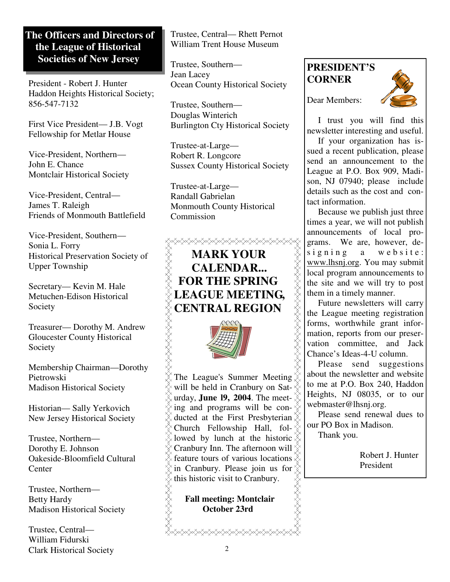# **The Officers and Directors of the League of Historical Societies of New Jersey**

President - Robert J. Hunter Haddon Heights Historical Society; 856-547-7132

First Vice President— J.B. Vogt Fellowship for Metlar House

Vice-President, Northern— John E. Chance Montclair Historical Society

Vice-President, Central— James T. Raleigh Friends of Monmouth Battlefield

Vice-President, Southern— Sonia L. Forry Historical Preservation Society of Upper Township

Secretary— Kevin M. Hale Metuchen-Edison Historical Society

Treasurer— Dorothy M. Andrew Gloucester County Historical Society

Membership Chairman—Dorothy Pietrowski Madison Historical Society

Historian— Sally Yerkovich New Jersey Historical Society

Trustee, Northern— Dorothy E. Johnson Oakeside-Bloomfield Cultural **Center** 

Trustee, Northern— Betty Hardy Madison Historical Society

Trustee, Central— William Fidurski Clark Historical Society Trustee, Central— Rhett Pernot William Trent House Museum

Trustee, Southern— Jean Lacey Ocean County Historical Society

Trustee, Southern— Douglas Winterich Burlington Cty Historical Society

Trustee-at-Large— Robert R. Longcore Sussex County Historical Society

Trustee-at-Large— Randall Gabrielan Monmouth County Historical Commission

# <del></del> **MARK YOUR CALENDAR... FOR THE SPRING LEAGUE MEETING,** SAARAARAA **CENTRAL REGION**



The League's Summer Meeting will be held in Cranbury on Saturday, **June l9, 2004**. The meeting and programs will be con- $\chi^2$  ducted at the First Presbyterian  $\chi^2$ Church Fellowship Hall, fol- $\frac{\tilde{\chi}}{\tilde{\chi}}$  $\&$  lowed by lunch at the historic  $\&$ Cranbury Inn. The afternoon will  $\hat{\chi}$ Feature tours of various locations<br>  $\begin{array}{c}\n\circledX$  in Cranbury. Please join us for  $\begin{array}{c}\n\circledX \\
\circledX\n\end{array}$ <br>
this historic visit to Cranbury.<br> **Fall meeting: Montclair**<br> **October 23rd** in Cranbury. Please join us for this historic visit to Cranbury.

**Fall meeting: Montclair October 23rd**

</del>

# **PRESIDENT'S CORNER**





I trust you will find this newsletter interesting and useful.

If your organization has issued a recent publication, please send an announcement to the League at P.O. Box 909, Madison, NJ 07940; please include details such as the cost and contact information.

Because we publish just three times a year, we will not publish announcements of local programs. We are, however, designing a website: www.lhsnj.org. You may submit local program announcements to the site and we will try to post them in a timely manner.

Future newsletters will carry the League meeting registration forms, worthwhile grant information, reports from our preservation committee, and Jack Chance's Ideas-4-U column.

Please send suggestions about the newsletter and website to me at P.O. Box 240, Haddon Heights, NJ 08035, or to our webmaster@lhsnj.org.

Please send renewal dues to our PO Box in Madison.

Thank you.

Robert J. Hunter President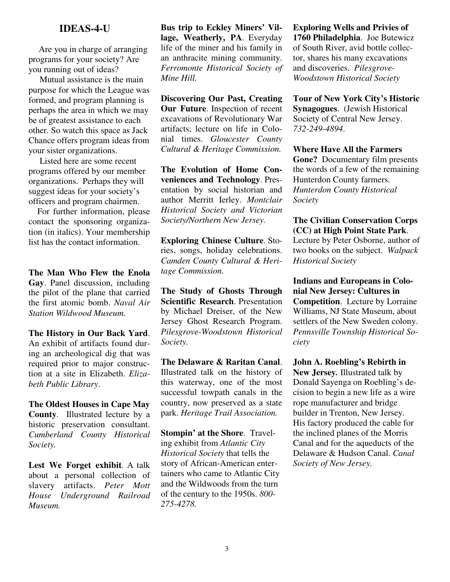#### **IDEAS-4-U**

Are you in charge of arranging programs for your society? Are you running out of ideas?

Mutual assistance is the main purpose for which the League was formed, and program planning is perhaps the area in which we may be of greatest assistance to each other. So watch this space as Jack Chance offers program ideas from your sister organizations.

Listed here are some recent programs offered by our member organizations. Perhaps they will suggest ideas for your society's officers and program chairmen.

For further information, please contact the sponsoring organization (in italics). Your membership list has the contact information.

**The Man Who Flew the Enola Gay**. Panel discussion, including the pilot of the plane that carried the first atomic bomb. *Naval Air Station Wildwood Museum.*

**The History in Our Back Yard**. An exhibit of artifacts found during an archeological dig that was required prior to major construction at a site in Elizabeth. *Elizabeth Public Library*.

**The Oldest Houses in Cape May County**. Illustrated lecture by a historic preservation consultant. *Cumberland County Historical Society.*

**Lest We Forget exhibit**. A talk about a personal collection of slavery artifacts. *Peter Mott House Underground Railroad Museum.*

**Bus trip to Eckley Miners' Village, Weatherly, PA**. Everyday life of the miner and his family in an anthracite mining community. *Ferromonte Historical Society of Mine Hill.*

**Discovering Our Past, Creating Our Future**. Inspection of recent excavations of Revolutionary War artifacts; lecture on life in Colonial times. *Gloucester County Cultural & Heritage Commission.*

**The Evolution of Home Conveniences and Technology**. Presentation by social historian and author Merritt Ierley. *Montclair Historical Society and Victorian Society/Northern New Jersey.*

**Exploring Chinese Culture**. Stories, songs, holiday celebrations. *Camden County Cultural & Heritage Commission.*

**The Study of Ghosts Through Scientific Research**. Presentation by Michael Dreiser, of the New Jersey Ghost Research Program. *Pilesgrove-Woodstown Historical Society.*

**The Delaware & Raritan Canal**. Illustrated talk on the history of this waterway, one of the most successful towpath canals in the country, now preserved as a state park. *Heritage Trail Association.*

**Stompin' at the Shore**. Traveling exhibit from *Atlantic City Historical Society* that tells the story of African-American entertainers who came to Atlantic City and the Wildwoods from the turn of the century to the 1950s. *800- 275-4278.*

**Exploring Wells and Privies of 1760 Philadelphia**. Joe Butewicz of South River, avid bottle collector, shares his many excavations and discoveries. *Pilesgrove-Woodstown Historical Society*

**Tour of New York City's Historic Synagogues**. (Jewish Historical Society of Central New Jersey. *732-249-4894*.

**Where Have All the Farmers Gone?** Documentary film presents the words of a few of the remaining Hunterdon County farmers. *Hunterdon County Historical Society*

**The Civilian Conservation Corps (CC) at High Point State Park**. Lecture by Peter Osborne, author of two books on the subject. *Walpack Historical Society*

**Indians and Europeans in Colonial New Jersey: Cultures in Competition**. Lecture by Lorraine Williams, NJ State Museum, about settlers of the New Sweden colony. *Pennsville Township Historical Society*

**John A. Roebling's Rebirth in New Jersey***.* Illustrated talk by Donald Sayenga on Roebling's decision to begin a new life as a wire rope manufacturer and bridge builder in Trenton, New Jersey. His factory produced the cable for the inclined planes of the Morris Canal and for the aqueducts of the Delaware & Hudson Canal. *Canal Society of New Jersey.*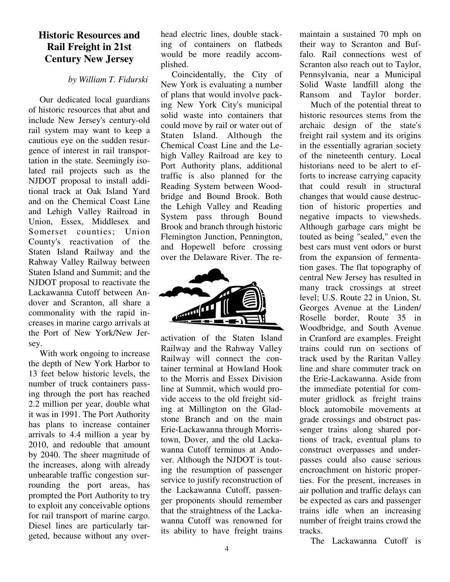# **Historic Resources and Rail Freight in 21st Century New Jersey**

#### *by William T. Fidurski*

Our dedicated local guardians of historic resources that abut and include New Jersey's century-old rail system may want to keep a cautious eye on the sudden resurgence of interest in rail transportation in the state. Seemingly isolated rail projects such as the NJDOT proposal to install additional track at Oak Island Yard and on the Chemical Coast Line and Lehigh Valley Railroad in Union, Essex, Middlesex and Somerset counties; Union County's reactivation of the Staten Island Railway and the Rahway Valley Railway between Staten Island and Summit; and the NJDOT proposal to reactivate the Lackawanna Cutoff between Andover and Scranton, all share a commonality with the rapid increases in marine cargo arrivals at the Port of New York/New Jersey.

With work ongoing to increase the depth of New York Harbor to 13 feet below historic levels, the number of truck containers passing through the port has reached 2.2 million per year, double what it was in 1991. The Port Authority has plans to increase container arrivals to 4.4 million a year by 2010, and redouble that amount by 2040. The sheer magnitude of the increases, along with already unbearable traffic congestion surrounding the port areas, has prompted the Port Authority to try to exploit any conceivable options for rail transport of marine cargo. Diesel lines are particularly targeted, because without any overhead electric lines, double stacking of containers on flatbeds would be more readily accomplished.

Coincidentally, the City of New York is evaluating a number of plans that would involve packing New York City's municipal solid waste into containers that could move by rail or water out of Staten Island. Although the Chemical Coast Line and the Lehigh Valley Railroad are key to Port Authority plans, additional traffic is also planned for the Reading System between Woodbridge and Bound Brook. Both the Lehigh Valley and Reading System pass through Bound Brook and branch through historic Flemington Junction, Pennington, and Hopewell before crossing over the Delaware River. The re-



activation of the Staten Island Railway and the Rahway Valley Railway will connect the container terminal at Howland Hook to the Morris and Essex Division line at Summit, which would provide access to the old freight siding at Millington on the Gladstone Branch and on the main Erie-Lackawanna through Morristown, Dover, and the old Lackawanna Cutoff terminus at Andover. Although the NJDOT is touting the resumption of passenger service to justify reconstruction of the Lackawanna Cutoff, passenger proponents should remember that the straightness of the Lackawanna Cutoff was renowned for its ability to have freight trains maintain a sustained 70 mph on their way to Scranton and Buffalo. Rail connections west of Scranton also reach out to Taylor, Pennsylvania, near a Municipal Solid Waste landfill along the Ransom and Taylor border.

Much of the potential threat to historic resources stems from the archaic design of the state's freight rail system and its origins in the essentially agrarian society of the nineteenth century. Local historians need to be alert to efforts to increase carrying capacity that could result in structural changes that would cause destruction of historic properties and negative impacts to viewsheds. Although garbage cars might be touted as being "sealed," even the best cars must vent odors or burst from the expansion of fermentation gases. The flat topography of central New Jersey has resulted in many track crossings at street level; U.S. Route 22 in Union, St. Georges Avenue at the Linden/ Roselle border, Route 35 in Woodbridge, and South Avenue in Cranford are examples. Freight trains could run on sections of track used by the Raritan Valley line and share commuter track on the Erie-Lackawanna. Aside from the immediate potential for commuter gridlock as freight trains block automobile movements at grade crossings and obstruct passenger trains along shared portions of track, eventual plans to construct overpasses and underpasses could also cause serious encroachment on historic properties. For the present, increases in air pollution and traffic delays can be expected as cars and passenger trains idle when an increasing number of freight trains crowd the tracks.

The Lackawanna Cutoff is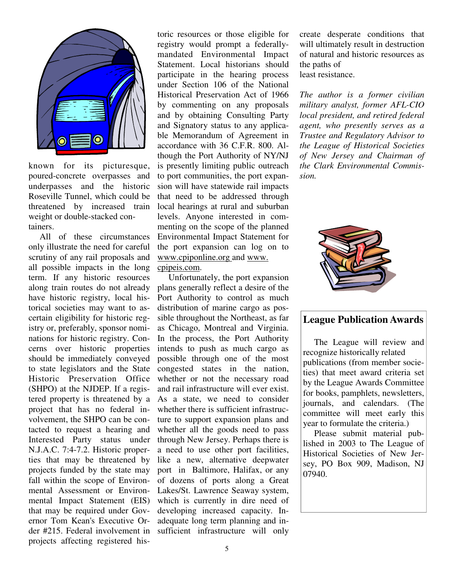

known for its picturesque, poured-concrete overpasses and underpasses and the historic Roseville Tunnel, which could be threatened by increased train weight or double-stacked containers.

All of these circumstances only illustrate the need for careful scrutiny of any rail proposals and all possible impacts in the long term. If any historic resources along train routes do not already have historic registry, local historical societies may want to ascertain eligibility for historic registry or, preferably, sponsor nominations for historic registry. Concerns over historic properties should be immediately conveyed to state legislators and the State Historic Preservation Office (SHPO) at the NJDEP. If a registered property is threatened by a project that has no federal involvement, the SHPO can be contacted to request a hearing and Interested Party status under N.J.A.C. 7:4-7.2. Historic properties that may be threatened by projects funded by the state may fall within the scope of Environmental Assessment or Environmental Impact Statement (EIS) that may be required under Governor Tom Kean's Executive Order #215. Federal involvement in projects affecting registered his-

toric resources or those eligible for registry would prompt a federallymandated Environmental Impact Statement. Local historians should participate in the hearing process under Section 106 of the National Historical Preservation Act of 1966 by commenting on any proposals and by obtaining Consulting Party and Signatory status to any applicable Memorandum of Agreement in accordance with 36 C.F.R. 800. Although the Port Authority of NY/NJ is presently limiting public outreach to port communities, the port expansion will have statewide rail impacts that need to be addressed through local hearings at rural and suburban levels. Anyone interested in commenting on the scope of the planned Environmental Impact Statement for the port expansion can log on to www.cpiponline.org and www.

#### cpipeis.com.

Unfortunately, the port expansion plans generally reflect a desire of the Port Authority to control as much distribution of marine cargo as possible throughout the Northeast, as far as Chicago, Montreal and Virginia. In the process, the Port Authority intends to push as much cargo as possible through one of the most congested states in the nation, whether or not the necessary road and rail infrastructure will ever exist. As a state, we need to consider whether there is sufficient infrastructure to support expansion plans and whether all the goods need to pass through New Jersey. Perhaps there is a need to use other port facilities, like a new, alternative deepwater port in Baltimore, Halifax, or any of dozens of ports along a Great Lakes/St. Lawrence Seaway system, which is currently in dire need of developing increased capacity. Inadequate long term planning and insufficient infrastructure will only

create desperate conditions that will ultimately result in destruction of natural and historic resources as the paths of least resistance.

*The author is a former civilian military analyst, former AFL-CIO local president, and retired federal agent, who presently serves as a Trustee and Regulatory Advisor to the League of Historical Societies of New Jersey and Chairman of the Clark Environmental Commission.*



# **League Publication Awards**

The League will review and recognize historically related publications (from member societies) that meet award criteria set by the League Awards Committee for books, pamphlets, newsletters, journals, and calendars. (The committee will meet early this year to formulate the criteria.)

Please submit material published in 2003 to The League of Historical Societies of New Jersey, PO Box 909, Madison, NJ 07940.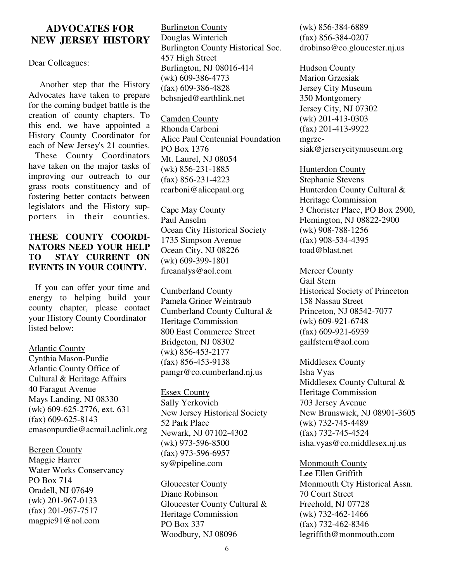# **ADVOCATES FOR NEW JERSEY HISTORY**

Dear Colleagues:

Another step that the History Advocates have taken to prepare for the coming budget battle is the creation of county chapters. To this end, we have appointed a History County Coordinator for each of New Jersey's 21 counties.

These County Coordinators have taken on the major tasks of improving our outreach to our grass roots constituency and of fostering better contacts between legislators and the History supporters in their counties.

## **THESE COUNTY COORDI-NATORS NEED YOUR HELP TO STAY CURRENT ON EVENTS IN YOUR COUNTY.**

If you can offer your time and energy to helping build your county chapter, please contact your History County Coordinator listed below:

#### Atlantic County

Cynthia Mason-Purdie Atlantic County Office of Cultural & Heritage Affairs 40 Faragut Avenue Mays Landing, NJ 08330 (wk) 609-625-2776, ext. 631 (fax) 609-625-8143 cmasonpurdie@acmail.aclink.org

# Bergen County

Maggie Harrer Water Works Conservancy PO Box 714 Oradell, NJ 07649 (wk) 201-967-0133 (fax) 201-967-7517 magpie91@aol.com

**Burlington County** Douglas Winterich Burlington County Historical Soc. 457 High Street Burlington, NJ 08016-414 (wk) 609-386-4773 (fax) 609-386-4828 bchsnjed@earthlink.net

Camden County Rhonda Carboni Alice Paul Centennial Foundation PO Box 1376 Mt. Laurel, NJ 08054 (wk) 856-231-1885 (fax) 856-231-4223 rcarboni@alicepaul.org

Cape May County Paul Anselm Ocean City Historical Society 1735 Simpson Avenue Ocean City, NJ 08226 (wk) 609-399-1801 fireanalys@aol.com

Cumberland County Pamela Griner Weintraub Cumberland County Cultural & Heritage Commission 800 East Commerce Street Bridgeton, NJ 08302 (wk) 856-453-2177 (fax) 856-453-9138 pamgr@co.cumberland.nj.us

Essex County Sally Yerkovich New Jersey Historical Society 52 Park Place Newark, NJ 07102-4302 (wk) 973-596-8500 (fax) 973-596-6957 sy@pipeline.com

Gloucester County Diane Robinson Gloucester County Cultural & Heritage Commission PO Box 337 Woodbury, NJ 08096

(wk) 856-384-6889 (fax) 856-384-0207 drobinso@co.gloucester.nj.us

Hudson County Marion Grzesiak Jersey City Museum 350 Montgomery Jersey City, NJ 07302 (wk) 201-413-0303 (fax) 201-413-9922 mgrzesiak@jerserycitymuseum.org

Hunterdon County Stephanie Stevens Hunterdon County Cultural & Heritage Commission 3 Chorister Place, PO Box 2900, Flemington, NJ 08822-2900 (wk) 908-788-1256 (fax) 908-534-4395 toad@blast.net

#### Mercer County

Gail Stern Historical Society of Princeton 158 Nassau Street Princeton, NJ 08542-7077 (wk) 609-921-6748 (fax) 609-921-6939 gailfstern@aol.com

#### Middlesex County

Isha Vyas Middlesex County Cultural & Heritage Commission 703 Jersey Avenue New Brunswick, NJ 08901-3605 (wk) 732-745-4489 (fax) 732-745-4524 isha.vyas@co.middlesex.nj.us

Monmouth County Lee Ellen Griffith Monmouth Cty Historical Assn. 70 Court Street Freehold, NJ 07728 (wk) 732-462-1466 (fax) 732-462-8346 legriffith@monmouth.com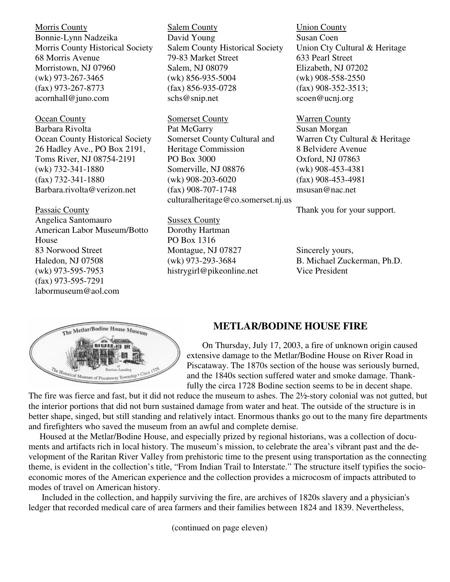Morris County Bonnie-Lynn Nadzeika Morris County Historical Society 68 Morris Avenue Morristown, NJ 07960 (wk) 973-267-3465 (fax) 973-267-8773 acornhall@juno.com

Ocean County Barbara Rivolta Ocean County Historical Society 26 Hadley Ave., PO Box 2191, Toms River, NJ 08754-2191 (wk) 732-341-1880 (fax) 732-341-1880 Barbara.rivolta@verizon.net

#### Passaic County

Angelica Santomauro American Labor Museum/Botto House 83 Norwood Street Haledon, NJ 07508 (wk) 973-595-7953 (fax) 973-595-7291 labormuseum@aol.com

Salem County David Young Salem County Historical Society 79-83 Market Street Salem, NJ 08079 (wk) 856-935-5004 (fax) 856-935-0728 schs@snip.net

Somerset County Pat McGarry Somerset County Cultural and Heritage Commission PO Box 3000 Somerville, NJ 08876 (wk) 908-203-6020 (fax) 908-707-1748 culturalheritage@co.somerset.nj.us

Sussex County Dorothy Hartman PO Box 1316 Montague, NJ 07827 (wk) 973-293-3684 histrygirl@pikeonline.net Union County Susan Coen Union Cty Cultural & Heritage 633 Pearl Street Elizabeth, NJ 07202 (wk) 908-558-2550 (fax) 908-352-3513; scoen@ucnj.org

Warren County Susan Morgan Warren Cty Cultural & Heritage 8 Belvidere Avenue Oxford, NJ 07863 (wk) 908-453-4381 (fax) 908-453-4981 msusan@nac.net

Thank you for your support.

Sincerely yours, B. Michael Zuckerman, Ph.D. Vice President



#### **METLAR/BODINE HOUSE FIRE**

On Thursday, July 17, 2003, a fire of unknown origin caused extensive damage to the Metlar/Bodine House on River Road in Piscataway. The 1870s section of the house was seriously burned, and the 1840s section suffered water and smoke damage. Thankfully the circa 1728 Bodine section seems to be in decent shape.

The fire was fierce and fast, but it did not reduce the museum to ashes. The 2½-story colonial was not gutted, but the interior portions that did not burn sustained damage from water and heat. The outside of the structure is in better shape, singed, but still standing and relatively intact. Enormous thanks go out to the many fire departments and firefighters who saved the museum from an awful and complete demise.

Housed at the Metlar/Bodine House, and especially prized by regional historians, was a collection of documents and artifacts rich in local history. The museum's mission, to celebrate the area's vibrant past and the development of the Raritan River Valley from prehistoric time to the present using transportation as the connecting theme, is evident in the collection's title, "From Indian Trail to Interstate." The structure itself typifies the socioeconomic mores of the American experience and the collection provides a microcosm of impacts attributed to modes of travel on American history.

Included in the collection, and happily surviving the fire, are archives of 1820s slavery and a physician's ledger that recorded medical care of area farmers and their families between 1824 and 1839. Nevertheless,

(continued on page eleven)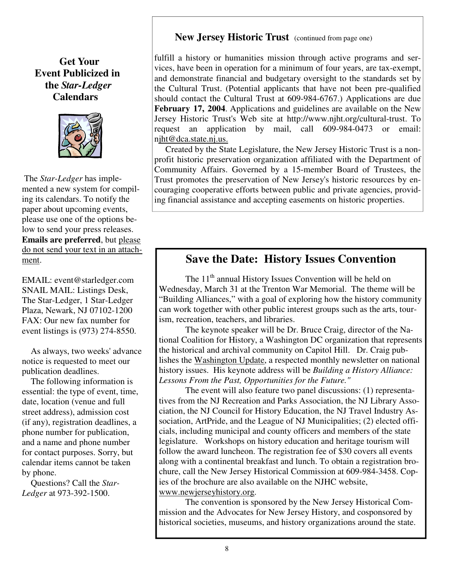# **Get Your Event Publicized in the** *Star-Ledger* **Calendars**



The *Star-Ledger* has implemented a new system for compiling its calendars. To notify the paper about upcoming events, please use one of the options below to send your press releases. **Emails are preferred**, but please do not send your text in an attachment.

EMAIL: event@starledger.com SNAIL MAIL: Listings Desk, The Star-Ledger, 1 Star-Ledger Plaza, Newark, NJ 07102-1200 FAX: Our new fax number for event listings is (973) 274-8550.

As always, two weeks' advance notice is requested to meet our publication deadlines.

The following information is essential: the type of event, time, date, location (venue and full street address), admission cost (if any), registration deadlines, a phone number for publication, and a name and phone number for contact purposes. Sorry, but calendar items cannot be taken by phone.

Questions? Call the *Star-Ledger* at 973-392-1500.

## **New Jersey Historic Trust** (continued from page one)

fulfill a history or humanities mission through active programs and services, have been in operation for a minimum of four years, are tax-exempt, and demonstrate financial and budgetary oversight to the standards set by the Cultural Trust. (Potential applicants that have not been pre-qualified should contact the Cultural Trust at 609-984-6767.) Applications are due **February 17, 2004**. Applications and guidelines are available on the New Jersey Historic Trust's Web site at http://www.njht.org/cultural-trust. To request an application by mail, call 609-984-0473 or email: njht@dca.state.nj.us.

Created by the State Legislature, the New Jersey Historic Trust is a nonprofit historic preservation organization affiliated with the Department of Community Affairs. Governed by a 15-member Board of Trustees, the Trust promotes the preservation of New Jersey's historic resources by encouraging cooperative efforts between public and private agencies, providing financial assistance and accepting easements on historic properties.

# **Save the Date: History Issues Convention**

The 11<sup>th</sup> annual History Issues Convention will be held on Wednesday, March 31 at the Trenton War Memorial. The theme will be "Building Alliances," with a goal of exploring how the history community can work together with other public interest groups such as the arts, tourism, recreation, teachers, and libraries.

The keynote speaker will be Dr. Bruce Craig, director of the National Coalition for History, a Washington DC organization that represents the historical and archival community on Capitol Hill. Dr. Craig publishes the Washington Update, a respected monthly newsletter on national history issues. His keynote address will be *Building a History Alliance: Lessons From the Past, Opportunities for the Future."*

The event will also feature two panel discussions: (1) representatives from the NJ Recreation and Parks Association, the NJ Library Association, the NJ Council for History Education, the NJ Travel Industry Association, ArtPride, and the League of NJ Municipalities; (2) elected officials, including municipal and county officers and members of the state legislature. Workshops on history education and heritage tourism will follow the award luncheon. The registration fee of \$30 covers all events along with a continental breakfast and lunch. To obtain a registration brochure, call the New Jersey Historical Commission at 609-984-3458. Copies of the brochure are also available on the NJHC website, www.newjerseyhistory.org.

The convention is sponsored by the New Jersey Historical Commission and the Advocates for New Jersey History, and cosponsored by historical societies, museums, and history organizations around the state.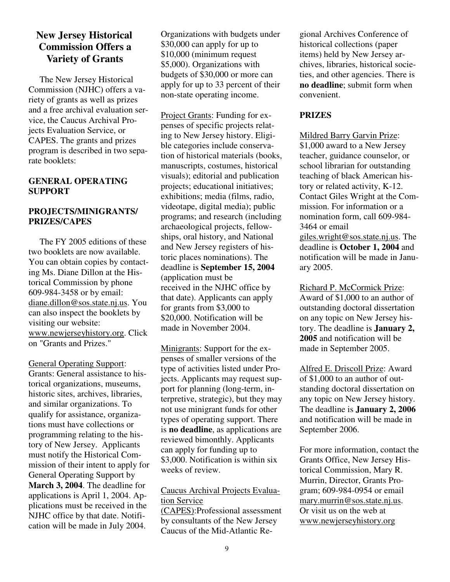# **New Jersey Historical Commission Offers a Variety of Grants**

The New Jersey Historical Commission (NJHC) offers a variety of grants as well as prizes and a free archival evaluation service, the Caucus Archival Projects Evaluation Service, or CAPES. The grants and prizes program is described in two separate booklets:

#### **GENERAL OPERATING SUPPORT**

#### **PROJECTS/MINIGRANTS/ PRIZES/CAPES**

The FY 2005 editions of these two booklets are now available. You can obtain copies by contacting Ms. Diane Dillon at the Historical Commission by phone 609-984-3458 or by email: diane.dillon@sos.state.nj.us. You can also inspect the booklets by visiting our website: www.newjerseyhistory.org. Click on "Grants and Prizes."

General Operating Support: Grants: General assistance to historical organizations, museums, historic sites, archives, libraries, and similar organizations. To qualify for assistance, organizations must have collections or programming relating to the history of New Jersey. Applicants must notify the Historical Commission of their intent to apply for General Operating Support by **March 3, 2004**. The deadline for applications is April 1, 2004. Applications must be received in the NJHC office by that date. Notification will be made in July 2004.

Organizations with budgets under \$30,000 can apply for up to \$10,000 (minimum request \$5,000). Organizations with budgets of \$30,000 or more can apply for up to 33 percent of their non-state operating income.

Project Grants: Funding for expenses of specific projects relating to New Jersey history. Eligible categories include conservation of historical materials (books, manuscripts, costumes, historical visuals); editorial and publication projects; educational initiatives; exhibitions; media (films, radio, videotape, digital media); public programs; and research (including archaeological projects, fellowships, oral history, and National and New Jersey registers of historic places nominations). The deadline is **September 15, 2004** (application must be received in the NJHC office by that date). Applicants can apply for grants from \$3,000 to \$20,000. Notification will be made in November 2004.

Minigrants: Support for the expenses of smaller versions of the type of activities listed under Projects. Applicants may request support for planning (long-term, interpretive, strategic), but they may not use minigrant funds for other types of operating support. There is **no deadline**, as applications are reviewed bimonthly. Applicants can apply for funding up to \$3,000. Notification is within six weeks of review.

#### Caucus Archival Projects Evaluation Service

(CAPES):Professional assessment by consultants of the New Jersey Caucus of the Mid-Atlantic Re-

gional Archives Conference of historical collections (paper items) held by New Jersey archives, libraries, historical societies, and other agencies. There is **no deadline**; submit form when convenient.

#### **PRIZES**

Mildred Barry Garvin Prize: \$1,000 award to a New Jersey teacher, guidance counselor, or school librarian for outstanding teaching of black American history or related activity, K-12. Contact Giles Wright at the Commission. For information or a nomination form, call 609-984- 3464 or email giles.wright@sos.state.nj.us. The deadline is **October 1, 2004** and notification will be made in January 2005.

Richard P. McCormick Prize: Award of \$1,000 to an author of outstanding doctoral dissertation on any topic on New Jersey history. The deadline is **January 2, 2005** and notification will be made in September 2005.

Alfred E. Driscoll Prize: Award of \$1,000 to an author of outstanding doctoral dissertation on any topic on New Jersey history. The deadline is **January 2, 2006** and notification will be made in September 2006.

For more information, contact the Grants Office, New Jersey Historical Commission, Mary R. Murrin, Director, Grants Program; 609-984-0954 or email mary.murrin@sos.state.nj.us. Or visit us on the web at www.newjerseyhistory.org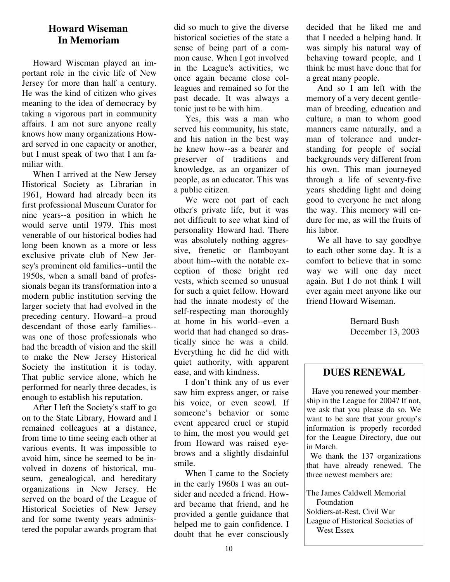# **Howard Wiseman In Memoriam**

Howard Wiseman played an important role in the civic life of New Jersey for more than half a century. He was the kind of citizen who gives meaning to the idea of democracy by taking a vigorous part in community affairs. I am not sure anyone really knows how many organizations Howard served in one capacity or another, but I must speak of two that I am familiar with.

When I arrived at the New Jersey Historical Society as Librarian in 1961, Howard had already been its first professional Museum Curator for nine years--a position in which he would serve until 1979. This most venerable of our historical bodies had long been known as a more or less exclusive private club of New Jersey's prominent old families--until the 1950s, when a small band of professionals began its transformation into a modern public institution serving the larger society that had evolved in the preceding century. Howard--a proud descendant of those early families- was one of those professionals who had the breadth of vision and the skill to make the New Jersey Historical Society the institution it is today. That public service alone, which he performed for nearly three decades, is enough to establish his reputation.

After I left the Society's staff to go on to the State Library, Howard and I remained colleagues at a distance, from time to time seeing each other at various events. It was impossible to avoid him, since he seemed to be involved in dozens of historical, museum, genealogical, and hereditary organizations in New Jersey. He served on the board of the League of Historical Societies of New Jersey and for some twenty years administered the popular awards program that did so much to give the diverse historical societies of the state a sense of being part of a common cause. When I got involved in the League's activities, we once again became close colleagues and remained so for the past decade. It was always a tonic just to be with him.

Yes, this was a man who served his community, his state, and his nation in the best way he knew how--as a bearer and preserver of traditions and knowledge, as an organizer of people, as an educator. This was a public citizen.

We were not part of each other's private life, but it was not difficult to see what kind of personality Howard had. There was absolutely nothing aggressive, frenetic or flamboyant about him--with the notable exception of those bright red vests, which seemed so unusual for such a quiet fellow. Howard had the innate modesty of the self-respecting man thoroughly at home in his world--even a world that had changed so drastically since he was a child. Everything he did he did with quiet authority, with apparent ease, and with kindness.

I don't think any of us ever saw him express anger, or raise his voice, or even scowl. If someone's behavior or some event appeared cruel or stupid to him, the most you would get from Howard was raised eyebrows and a slightly disdainful smile.

When I came to the Society in the early 1960s I was an outsider and needed a friend. Howard became that friend, and he provided a gentle guidance that helped me to gain confidence. I doubt that he ever consciously decided that he liked me and that I needed a helping hand. It was simply his natural way of behaving toward people, and I think he must have done that for a great many people.

And so I am left with the memory of a very decent gentleman of breeding, education and culture, a man to whom good manners came naturally, and a man of tolerance and understanding for people of social backgrounds very different from his own. This man journeyed through a life of seventy-five years shedding light and doing good to everyone he met along the way. This memory will endure for me, as will the fruits of his labor.

We all have to say goodbye to each other some day. It is a comfort to believe that in some way we will one day meet again. But I do not think I will ever again meet anyone like our friend Howard Wiseman.

> Bernard Bush December 13, 2003

# **DUES RENEWAL**

Have you renewed your membership in the League for 2004? If not, we ask that you please do so. We want to be sure that your group's information is properly recorded for the League Directory, due out in March.

We thank the 137 organizations that have already renewed. The three newest members are:

The James Caldwell Memorial Foundation Soldiers-at-Rest, Civil War League of Historical Societies of West Essex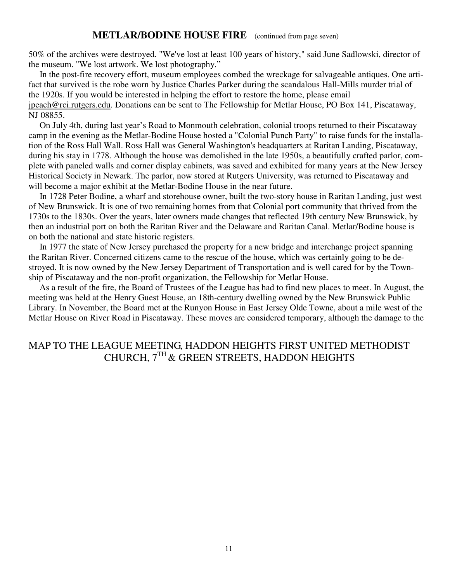#### **METLAR/BODINE HOUSE FIRE** (continued from page seven)

50% of the archives were destroyed. "We've lost at least 100 years of history," said June Sadlowski, director of the museum. "We lost artwork. We lost photography."

In the post-fire recovery effort, museum employees combed the wreckage for salvageable antiques. One artifact that survived is the robe worn by Justice Charles Parker during the scandalous Hall-Mills murder trial of the 1920s. If you would be interested in helping the effort to restore the home, please email jpeach@rci.rutgers.edu. Donations can be sent to The Fellowship for Metlar House, PO Box 141, Piscataway, NJ 08855.

On July 4th, during last year's Road to Monmouth celebration, colonial troops returned to their Piscataway camp in the evening as the Metlar-Bodine House hosted a "Colonial Punch Party" to raise funds for the installation of the Ross Hall Wall. Ross Hall was General Washington's headquarters at Raritan Landing, Piscataway, during his stay in 1778. Although the house was demolished in the late 1950s, a beautifully crafted parlor, complete with paneled walls and corner display cabinets, was saved and exhibited for many years at the New Jersey Historical Society in Newark. The parlor, now stored at Rutgers University, was returned to Piscataway and will become a major exhibit at the Metlar-Bodine House in the near future.

In 1728 Peter Bodine, a wharf and storehouse owner, built the two-story house in Raritan Landing, just west of New Brunswick. It is one of two remaining homes from that Colonial port community that thrived from the 1730s to the 1830s. Over the years, later owners made changes that reflected 19th century New Brunswick, by then an industrial port on both the Raritan River and the Delaware and Raritan Canal. Metlar/Bodine house is on both the national and state historic registers.

In 1977 the state of New Jersey purchased the property for a new bridge and interchange project spanning the Raritan River. Concerned citizens came to the rescue of the house, which was certainly going to be destroyed. It is now owned by the New Jersey Department of Transportation and is well cared for by the Township of Piscataway and the non-profit organization, the Fellowship for Metlar House.

As a result of the fire, the Board of Trustees of the League has had to find new places to meet. In August, the meeting was held at the Henry Guest House, an 18th-century dwelling owned by the New Brunswick Public Library. In November, the Board met at the Runyon House in East Jersey Olde Towne, about a mile west of the Metlar House on River Road in Piscataway. These moves are considered temporary, although the damage to the

# MAP TO THE LEAGUE MEETING, HADDON HEIGHTS FIRST UNITED METHODIST CHURCH,  $7^{\rm TH}$  & GREEN STREETS, HADDON HEIGHTS